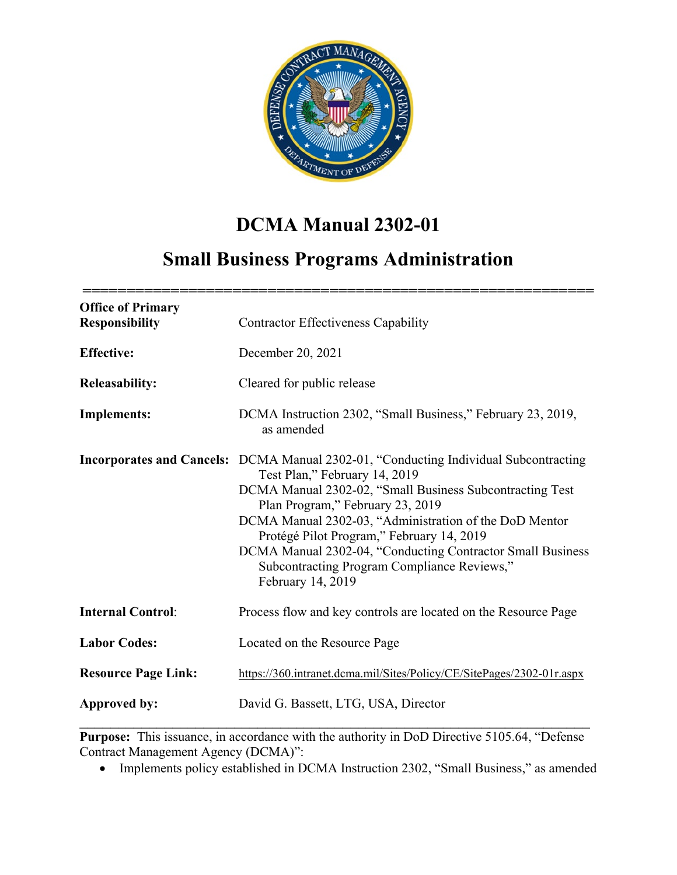

# **DCMA Manual 2302-01**

# **Small Business Programs Administration**

| <b>Office of Primary</b><br><b>Responsibility</b> | <b>Contractor Effectiveness Capability</b>                                                                                                                                                                                                                                                                                                                                                                                           |
|---------------------------------------------------|--------------------------------------------------------------------------------------------------------------------------------------------------------------------------------------------------------------------------------------------------------------------------------------------------------------------------------------------------------------------------------------------------------------------------------------|
| <b>Effective:</b>                                 | December 20, 2021                                                                                                                                                                                                                                                                                                                                                                                                                    |
| <b>Releasability:</b>                             | Cleared for public release                                                                                                                                                                                                                                                                                                                                                                                                           |
| <b>Implements:</b>                                | DCMA Instruction 2302, "Small Business," February 23, 2019,<br>as amended                                                                                                                                                                                                                                                                                                                                                            |
| <b>Incorporates and Cancels:</b>                  | DCMA Manual 2302-01, "Conducting Individual Subcontracting<br>Test Plan," February 14, 2019<br>DCMA Manual 2302-02, "Small Business Subcontracting Test<br>Plan Program," February 23, 2019<br>DCMA Manual 2302-03, "Administration of the DoD Mentor<br>Protégé Pilot Program," February 14, 2019<br>DCMA Manual 2302-04, "Conducting Contractor Small Business<br>Subcontracting Program Compliance Reviews,"<br>February 14, 2019 |
| <b>Internal Control:</b>                          | Process flow and key controls are located on the Resource Page                                                                                                                                                                                                                                                                                                                                                                       |
| <b>Labor Codes:</b>                               | Located on the Resource Page                                                                                                                                                                                                                                                                                                                                                                                                         |
| <b>Resource Page Link:</b>                        | https://360.intranet.dcma.mil/Sites/Policy/CE/SitePages/2302-01r.aspx                                                                                                                                                                                                                                                                                                                                                                |
| Approved by:                                      | David G. Bassett, LTG, USA, Director                                                                                                                                                                                                                                                                                                                                                                                                 |

**Purpose:** This issuance, in accordance with the authority in DoD Directive 5105.64, "Defense Contract Management Agency (DCMA)":

• Implements policy established in DCMA Instruction 2302, "Small Business," as amended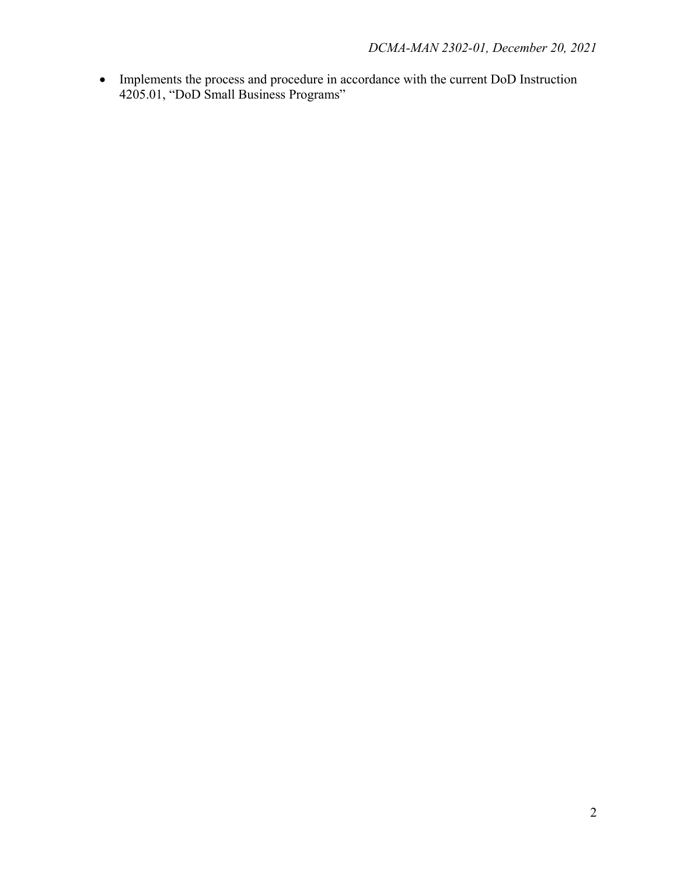• Implements the process and procedure in accordance with the current DoD Instruction 4205.01, "DoD Small Business Programs"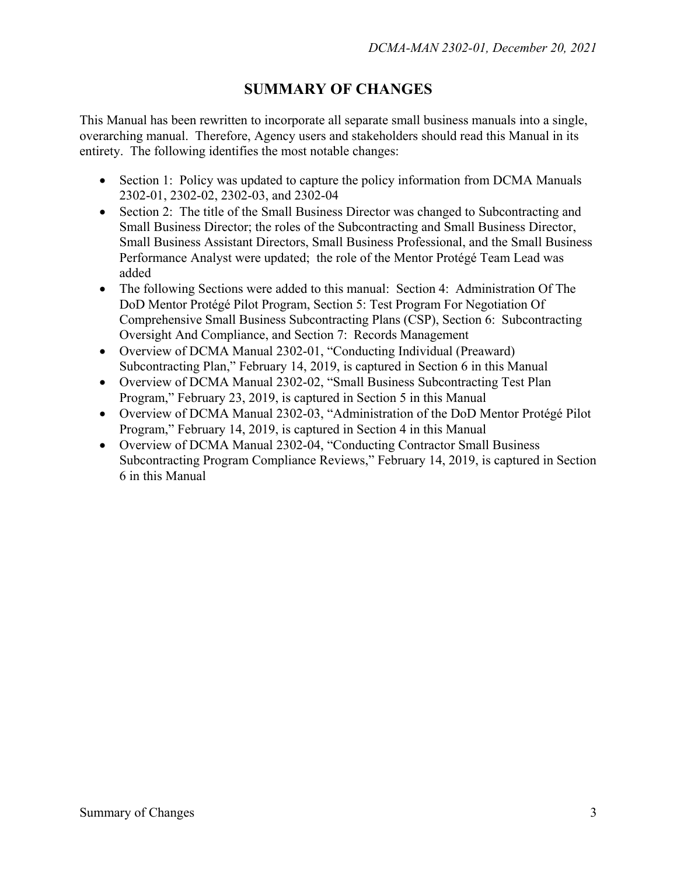# **SUMMARY OF CHANGES**

This Manual has been rewritten to incorporate all separate small business manuals into a single, overarching manual. Therefore, Agency users and stakeholders should read this Manual in its entirety. The following identifies the most notable changes:

- Section 1: Policy was updated to capture the policy information from DCMA Manuals 2302-01, 2302-02, 2302-03, and 2302-04
- Section 2: The title of the Small Business Director was changed to Subcontracting and Small Business Director; the roles of the Subcontracting and Small Business Director, Small Business Assistant Directors, Small Business Professional, and the Small Business Performance Analyst were updated; the role of the Mentor Protégé Team Lead was added
- The following Sections were added to this manual: Section 4: Administration Of The DoD Mentor Protégé Pilot Program, Section 5: Test Program For Negotiation Of Comprehensive Small Business Subcontracting Plans (CSP), Section 6: Subcontracting Oversight And Compliance, and Section 7: Records Management
- Overview of DCMA Manual 2302-01, "Conducting Individual (Preaward) Subcontracting Plan," February 14, 2019, is captured in Section 6 in this Manual
- Overview of DCMA Manual 2302-02, "Small Business Subcontracting Test Plan Program," February 23, 2019, is captured in Section 5 in this Manual
- Overview of DCMA Manual 2302-03, "Administration of the DoD Mentor Protégé Pilot Program," February 14, 2019, is captured in Section 4 in this Manual
- Overview of DCMA Manual 2302-04, "Conducting Contractor Small Business Subcontracting Program Compliance Reviews," February 14, 2019, is captured in Section 6 in this Manual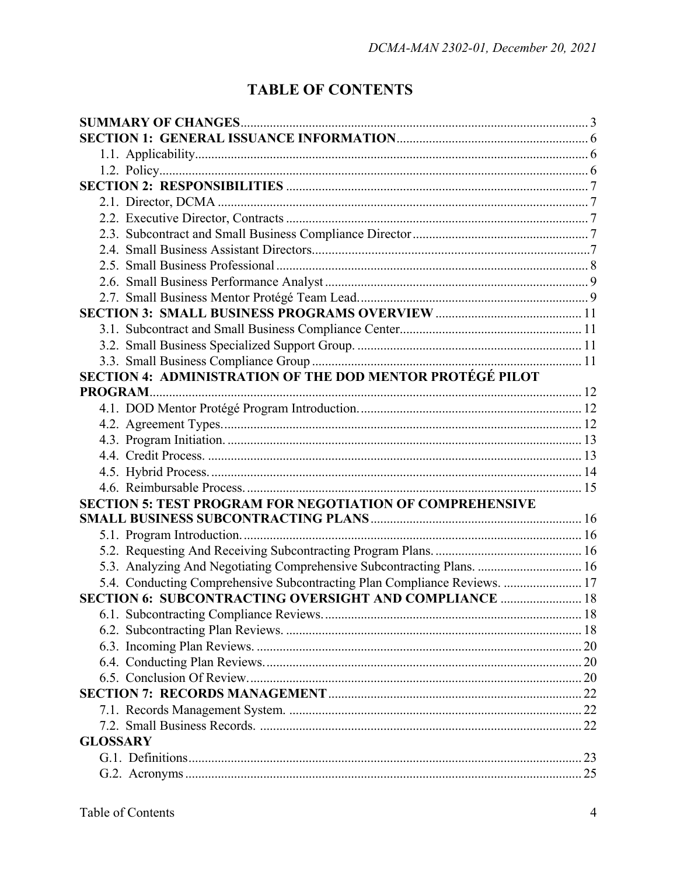# **TABLE OF CONTENTS**

| SECTION 4: ADMINISTRATION OF THE DOD MENTOR PROTÉGÉ PILOT                 |  |
|---------------------------------------------------------------------------|--|
|                                                                           |  |
|                                                                           |  |
|                                                                           |  |
|                                                                           |  |
|                                                                           |  |
|                                                                           |  |
|                                                                           |  |
| <b>SECTION 5: TEST PROGRAM FOR NEGOTIATION OF COMPREHENSIVE</b>           |  |
|                                                                           |  |
|                                                                           |  |
|                                                                           |  |
| 5.3. Analyzing And Negotiating Comprehensive Subcontracting Plans.  16    |  |
| 5.4. Conducting Comprehensive Subcontracting Plan Compliance Reviews.  17 |  |
| SECTION 6: SUBCONTRACTING OVERSIGHT AND COMPLIANCE  18                    |  |
|                                                                           |  |
|                                                                           |  |
|                                                                           |  |
|                                                                           |  |
|                                                                           |  |
|                                                                           |  |
|                                                                           |  |
|                                                                           |  |
| <b>GLOSSARY</b>                                                           |  |
|                                                                           |  |
|                                                                           |  |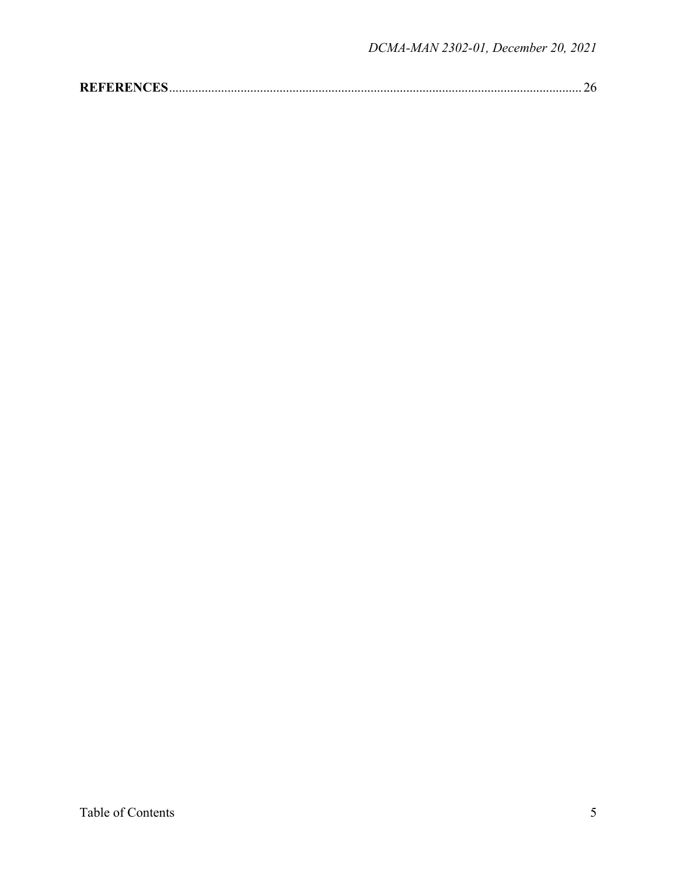|--|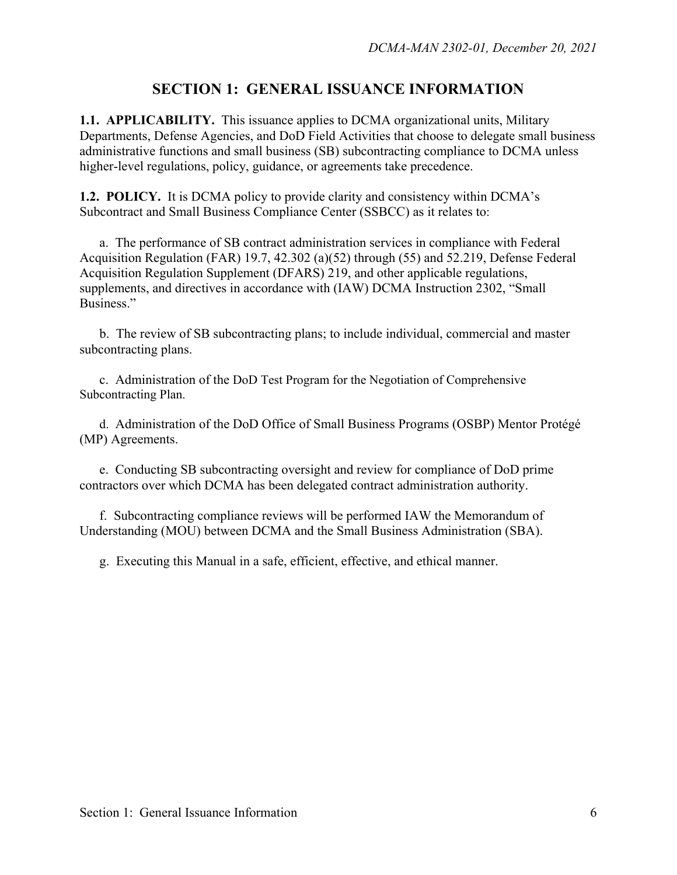### **SECTION 1: GENERAL ISSUANCE INFORMATION**

**1.1. APPLICABILITY.** This issuance applies to DCMA organizational units, Military Departments, Defense Agencies, and DoD Field Activities that choose to delegate small business administrative functions and small business (SB) subcontracting compliance to DCMA unless higher-level regulations, policy, guidance, or agreements take precedence.

**1.2. POLICY.** It is DCMA policy to provide clarity and consistency within DCMA's Subcontract and Small Business Compliance Center (SSBCC) as it relates to:

 a. The performance of SB contract administration services in compliance with Federal Acquisition Regulation (FAR) 19.7, 42.302 (a)(52) through (55) and 52.219, Defense Federal Acquisition Regulation Supplement (DFARS) 219, and other applicable regulations, supplements, and directives in accordance with (IAW) DCMA Instruction 2302, "Small Business."

b. The review of SB subcontracting plans; to include individual, commercial and master subcontracting plans.

 c. Administration of the DoD Test Program for the Negotiation of Comprehensive Subcontracting Plan.

 d. Administration of the DoD Office of Small Business Programs (OSBP) Mentor Protégé (MP) Agreements.

 e. Conducting SB subcontracting oversight and review for compliance of DoD prime contractors over which DCMA has been delegated contract administration authority.

f. Subcontracting compliance reviews will be performed IAW the Memorandum of Understanding (MOU) between DCMA and the Small Business Administration (SBA).

g. Executing this Manual in a safe, efficient, effective, and ethical manner.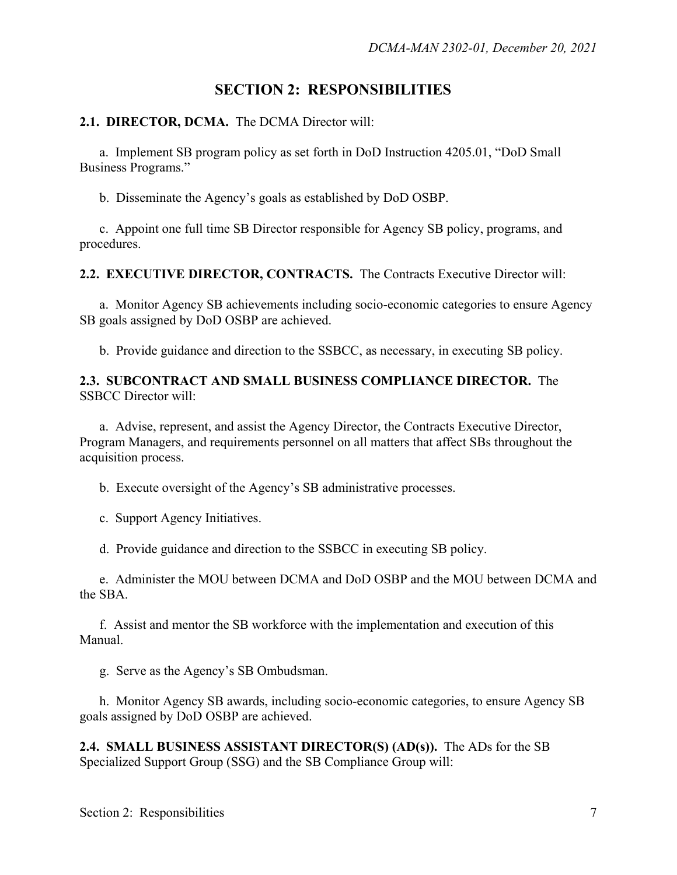## **SECTION 2: RESPONSIBILITIES**

#### **2.1. DIRECTOR, DCMA.** The DCMA Director will:

a. Implement SB program policy as set forth in DoD Instruction 4205.01, "DoD Small Business Programs."

b. Disseminate the Agency's goals as established by DoD OSBP.

 c. Appoint one full time SB Director responsible for Agency SB policy, programs, and procedures.

**2.2. EXECUTIVE DIRECTOR, CONTRACTS.** The Contracts Executive Director will:

 a. Monitor Agency SB achievements including socio-economic categories to ensure Agency SB goals assigned by DoD OSBP are achieved.

b. Provide guidance and direction to the SSBCC, as necessary, in executing SB policy.

#### **2.3. SUBCONTRACT AND SMALL BUSINESS COMPLIANCE DIRECTOR.** The SSBCC Director will:

a. Advise, represent, and assist the Agency Director, the Contracts Executive Director, Program Managers, and requirements personnel on all matters that affect SBs throughout the acquisition process.

b. Execute oversight of the Agency's SB administrative processes.

c. Support Agency Initiatives.

d. Provide guidance and direction to the SSBCC in executing SB policy.

e. Administer the MOU between DCMA and DoD OSBP and the MOU between DCMA and the SBA.

f. Assist and mentor the SB workforce with the implementation and execution of this Manual.

g. Serve as the Agency's SB Ombudsman.

 h. Monitor Agency SB awards, including socio-economic categories, to ensure Agency SB goals assigned by DoD OSBP are achieved.

**2.4. SMALL BUSINESS ASSISTANT DIRECTOR(S) (AD(s)).** The ADs for the SB Specialized Support Group (SSG) and the SB Compliance Group will: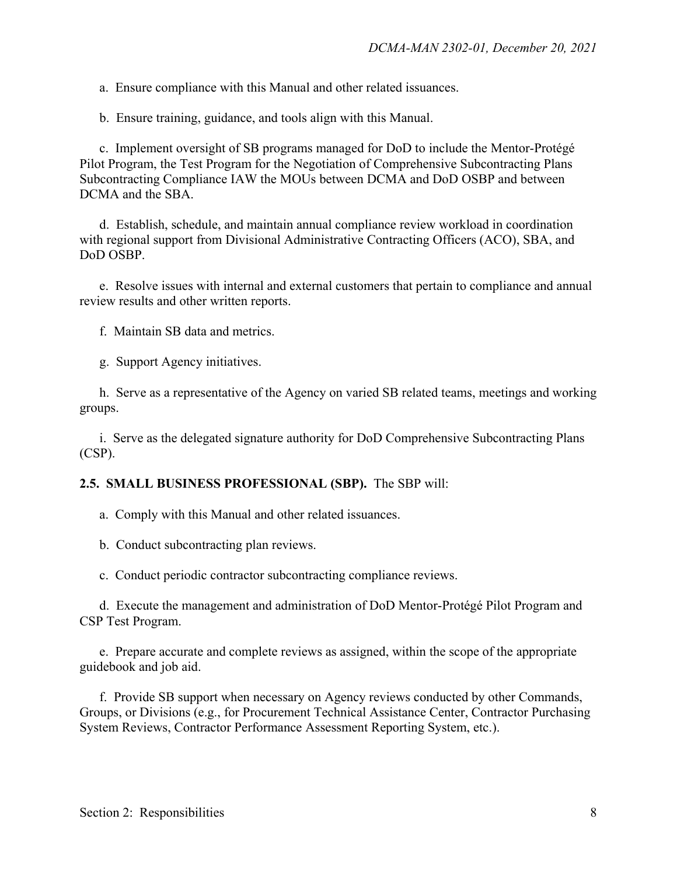a. Ensure compliance with this Manual and other related issuances.

b. Ensure training, guidance, and tools align with this Manual.

c. Implement oversight of SB programs managed for DoD to include the Mentor-Protégé Pilot Program, the Test Program for the Negotiation of Comprehensive Subcontracting Plans Subcontracting Compliance IAW the MOUs between DCMA and DoD OSBP and between DCMA and the SBA.

 d. Establish, schedule, and maintain annual compliance review workload in coordination with regional support from Divisional Administrative Contracting Officers (ACO), SBA, and DoD OSBP.

e. Resolve issues with internal and external customers that pertain to compliance and annual review results and other written reports.

f. Maintain SB data and metrics.

g. Support Agency initiatives.

h. Serve as a representative of the Agency on varied SB related teams, meetings and working groups.

 i. Serve as the delegated signature authority for DoD Comprehensive Subcontracting Plans (CSP).

#### **2.5. SMALL BUSINESS PROFESSIONAL (SBP).** The SBP will:

a. Comply with this Manual and other related issuances.

b. Conduct subcontracting plan reviews.

c. Conduct periodic contractor subcontracting compliance reviews.

d. Execute the management and administration of DoD Mentor-Protégé Pilot Program and CSP Test Program.

e. Prepare accurate and complete reviews as assigned, within the scope of the appropriate guidebook and job aid.

f. Provide SB support when necessary on Agency reviews conducted by other Commands, Groups, or Divisions (e.g., for Procurement Technical Assistance Center, Contractor Purchasing System Reviews, Contractor Performance Assessment Reporting System, etc.).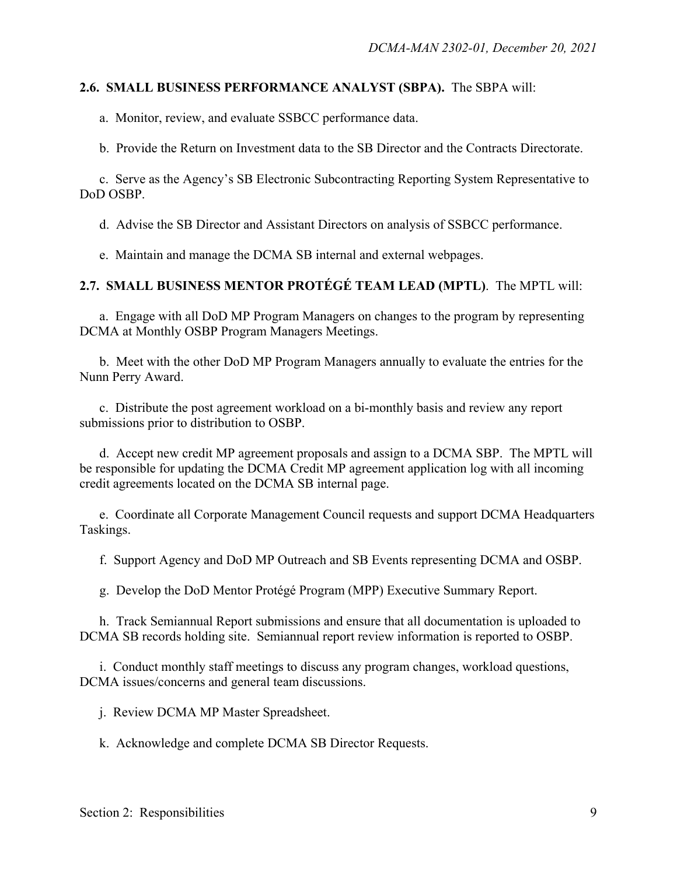#### **2.6. SMALL BUSINESS PERFORMANCE ANALYST (SBPA).** The SBPA will:

a. Monitor, review, and evaluate SSBCC performance data.

b. Provide the Return on Investment data to the SB Director and the Contracts Directorate.

c. Serve as the Agency's SB Electronic Subcontracting Reporting System Representative to DoD OSBP.

d. Advise the SB Director and Assistant Directors on analysis of SSBCC performance.

e. Maintain and manage the DCMA SB internal and external webpages.

**2.7. SMALL BUSINESS MENTOR PROTÉGÉ TEAM LEAD (MPTL)**. The MPTL will:

a. Engage with all DoD MP Program Managers on changes to the program by representing DCMA at Monthly OSBP Program Managers Meetings.

b. Meet with the other DoD MP Program Managers annually to evaluate the entries for the Nunn Perry Award.

c. Distribute the post agreement workload on a bi-monthly basis and review any report submissions prior to distribution to OSBP.

d. Accept new credit MP agreement proposals and assign to a DCMA SBP. The MPTL will be responsible for updating the DCMA Credit MP agreement application log with all incoming credit agreements located on the DCMA SB internal page.

e. Coordinate all Corporate Management Council requests and support DCMA Headquarters Taskings.

f. Support Agency and DoD MP Outreach and SB Events representing DCMA and OSBP.

g. Develop the DoD Mentor Protégé Program (MPP) Executive Summary Report.

h. Track Semiannual Report submissions and ensure that all documentation is uploaded to DCMA SB records holding site. Semiannual report review information is reported to OSBP.

i. Conduct monthly staff meetings to discuss any program changes, workload questions, DCMA issues/concerns and general team discussions.

j. Review DCMA MP Master Spreadsheet.

k. Acknowledge and complete DCMA SB Director Requests.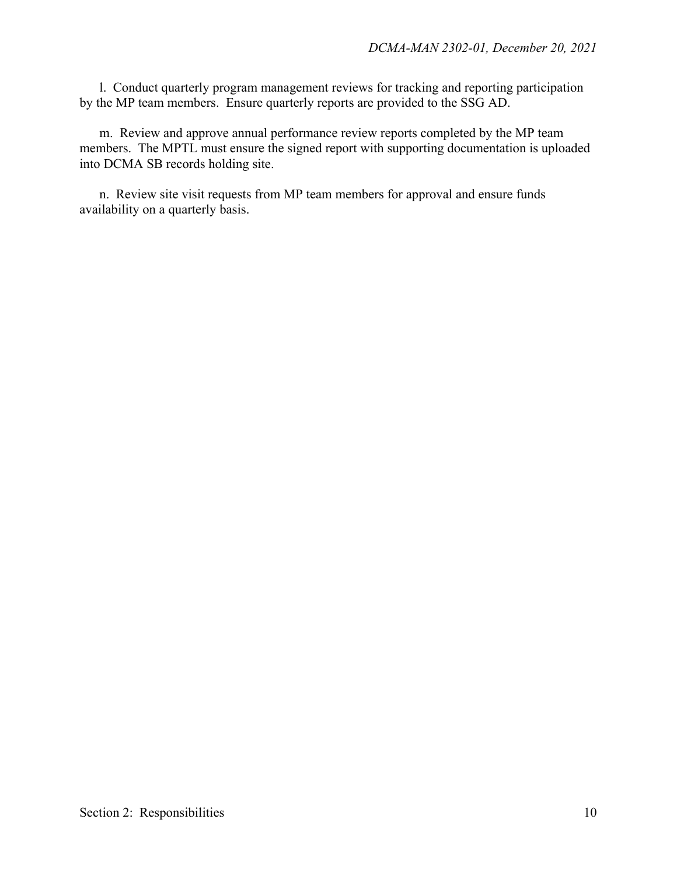l. Conduct quarterly program management reviews for tracking and reporting participation by the MP team members. Ensure quarterly reports are provided to the SSG AD.

m. Review and approve annual performance review reports completed by the MP team members. The MPTL must ensure the signed report with supporting documentation is uploaded into DCMA SB records holding site.

n. Review site visit requests from MP team members for approval and ensure funds availability on a quarterly basis.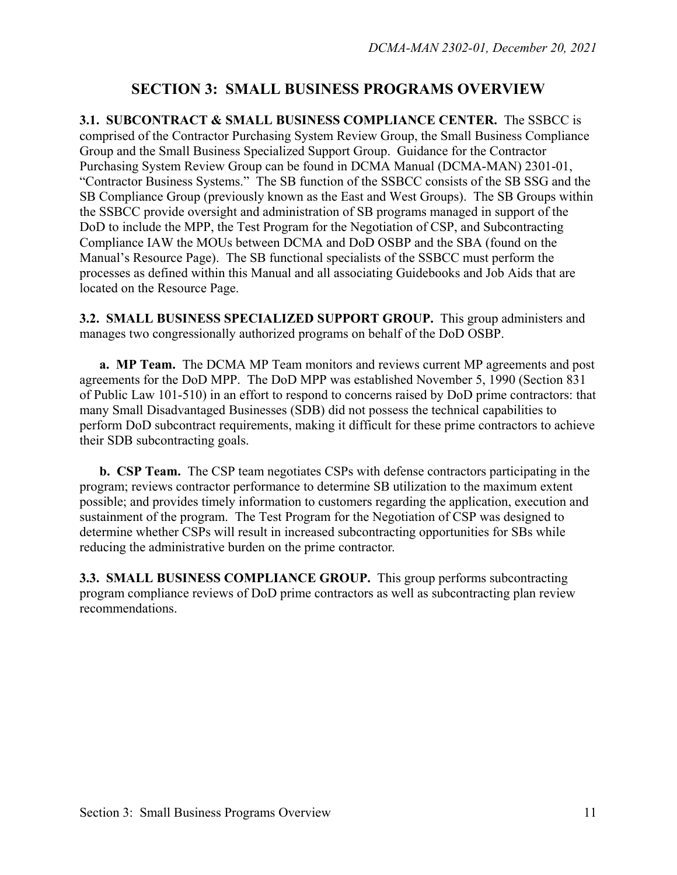## **SECTION 3: SMALL BUSINESS PROGRAMS OVERVIEW**

**3.1. SUBCONTRACT & SMALL BUSINESS COMPLIANCE CENTER.** The SSBCC is comprised of the Contractor Purchasing System Review Group, the Small Business Compliance Group and the Small Business Specialized Support Group. Guidance for the Contractor Purchasing System Review Group can be found in DCMA Manual (DCMA-MAN) 2301-01, "Contractor Business Systems." The SB function of the SSBCC consists of the SB SSG and the SB Compliance Group (previously known as the East and West Groups). The SB Groups within the SSBCC provide oversight and administration of SB programs managed in support of the DoD to include the MPP, the Test Program for the Negotiation of CSP, and Subcontracting Compliance IAW the MOUs between DCMA and DoD OSBP and the SBA (found on the Manual's Resource Page). The SB functional specialists of the SSBCC must perform the processes as defined within this Manual and all associating Guidebooks and Job Aids that are located on the Resource Page.

**3.2. SMALL BUSINESS SPECIALIZED SUPPORT GROUP.** This group administers and manages two congressionally authorized programs on behalf of the DoD OSBP.

**a. MP Team.** The DCMA MP Team monitors and reviews current MP agreements and post agreements for the DoD MPP. The DoD MPP was established November 5, 1990 (Section 831 of Public Law 101-510) in an effort to respond to concerns raised by DoD prime contractors: that many Small Disadvantaged Businesses (SDB) did not possess the technical capabilities to perform DoD subcontract requirements, making it difficult for these prime contractors to achieve their SDB subcontracting goals.

**b. CSP Team.** The CSP team negotiates CSPs with defense contractors participating in the program; reviews contractor performance to determine SB utilization to the maximum extent possible; and provides timely information to customers regarding the application, execution and sustainment of the program. The Test Program for the Negotiation of CSP was designed to determine whether CSPs will result in increased subcontracting opportunities for SBs while reducing the administrative burden on the prime contractor.

**3.3. SMALL BUSINESS COMPLIANCE GROUP.** This group performs subcontracting program compliance reviews of DoD prime contractors as well as subcontracting plan review recommendations.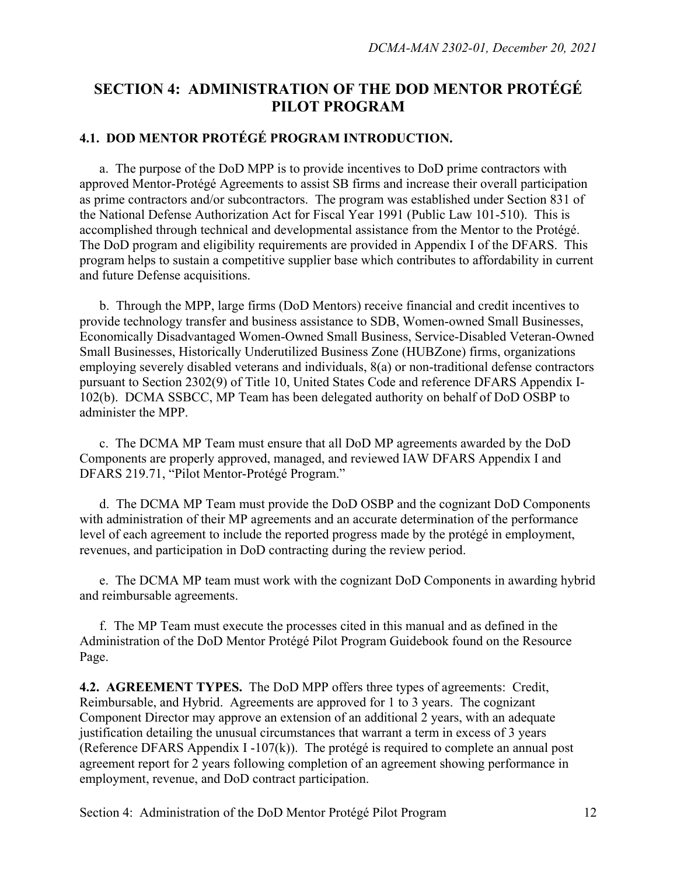# **SECTION 4: ADMINISTRATION OF THE DOD MENTOR PROTÉGÉ PILOT PROGRAM**

## **4.1. DOD MENTOR PROTÉGÉ PROGRAM INTRODUCTION.**

a. The purpose of the DoD MPP is to provide incentives to DoD prime contractors with approved Mentor-Protégé Agreements to assist SB firms and increase their overall participation as prime contractors and/or subcontractors. The program was established under Section 831 of the National Defense Authorization Act for Fiscal Year 1991 (Public Law 101-510). This is accomplished through technical and developmental assistance from the Mentor to the Protégé. The DoD program and eligibility requirements are provided in Appendix I of the DFARS. This program helps to sustain a competitive supplier base which contributes to affordability in current and future Defense acquisitions.

b. Through the MPP, large firms (DoD Mentors) receive financial and credit incentives to provide technology transfer and business assistance to SDB, Women-owned Small Businesses, Economically Disadvantaged Women-Owned Small Business, Service-Disabled Veteran-Owned Small Businesses, Historically Underutilized Business Zone (HUBZone) firms, organizations employing severely disabled veterans and individuals, 8(a) or non-traditional defense contractors pursuant to Section 2302(9) of Title 10, United States Code and reference DFARS Appendix I-102(b). DCMA SSBCC, MP Team has been delegated authority on behalf of DoD OSBP to administer the MPP.

c. The DCMA MP Team must ensure that all DoD MP agreements awarded by the DoD Components are properly approved, managed, and reviewed IAW DFARS Appendix I and DFARS 219.71, "Pilot Mentor-Protégé Program."

d. The DCMA MP Team must provide the DoD OSBP and the cognizant DoD Components with administration of their MP agreements and an accurate determination of the performance level of each agreement to include the reported progress made by the protégé in employment, revenues, and participation in DoD contracting during the review period.

e. The DCMA MP team must work with the cognizant DoD Components in awarding hybrid and reimbursable agreements.

f. The MP Team must execute the processes cited in this manual and as defined in the Administration of the DoD Mentor Protégé Pilot Program Guidebook found on the Resource Page.

**4.2. AGREEMENT TYPES.** The DoD MPP offers three types of agreements: Credit, Reimbursable, and Hybrid. Agreements are approved for 1 to 3 years. The cognizant Component Director may approve an extension of an additional 2 years, with an adequate justification detailing the unusual circumstances that warrant a term in excess of 3 years (Reference DFARS Appendix I -107(k)). The protégé is required to complete an annual post agreement report for 2 years following completion of an agreement showing performance in employment, revenue, and DoD contract participation.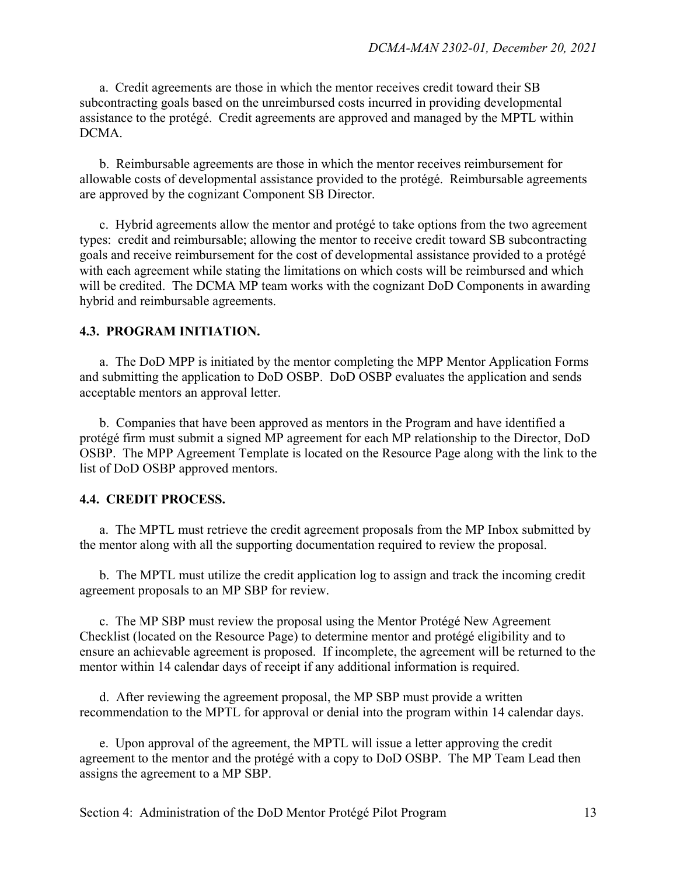a. Credit agreements are those in which the mentor receives credit toward their SB subcontracting goals based on the unreimbursed costs incurred in providing developmental assistance to the protégé. Credit agreements are approved and managed by the MPTL within DCMA.

b. Reimbursable agreements are those in which the mentor receives reimbursement for allowable costs of developmental assistance provided to the protégé. Reimbursable agreements are approved by the cognizant Component SB Director.

c. Hybrid agreements allow the mentor and protégé to take options from the two agreement types: credit and reimbursable; allowing the mentor to receive credit toward SB subcontracting goals and receive reimbursement for the cost of developmental assistance provided to a protégé with each agreement while stating the limitations on which costs will be reimbursed and which will be credited. The DCMA MP team works with the cognizant DoD Components in awarding hybrid and reimbursable agreements.

#### **4.3. PROGRAM INITIATION.**

a. The DoD MPP is initiated by the mentor completing the MPP Mentor Application Forms and submitting the application to DoD OSBP. DoD OSBP evaluates the application and sends acceptable mentors an approval letter.

b. Companies that have been approved as mentors in the Program and have identified a protégé firm must submit a signed MP agreement for each MP relationship to the Director, DoD OSBP. The MPP Agreement Template is located on the Resource Page along with the link to the list of DoD OSBP approved mentors.

#### **4.4. CREDIT PROCESS.**

a. The MPTL must retrieve the credit agreement proposals from the MP Inbox submitted by the mentor along with all the supporting documentation required to review the proposal.

b. The MPTL must utilize the credit application log to assign and track the incoming credit agreement proposals to an MP SBP for review.

c. The MP SBP must review the proposal using the Mentor Protégé New Agreement Checklist (located on the Resource Page) to determine mentor and protégé eligibility and to ensure an achievable agreement is proposed. If incomplete, the agreement will be returned to the mentor within 14 calendar days of receipt if any additional information is required.

d. After reviewing the agreement proposal, the MP SBP must provide a written recommendation to the MPTL for approval or denial into the program within 14 calendar days.

e. Upon approval of the agreement, the MPTL will issue a letter approving the credit agreement to the mentor and the protégé with a copy to DoD OSBP. The MP Team Lead then assigns the agreement to a MP SBP.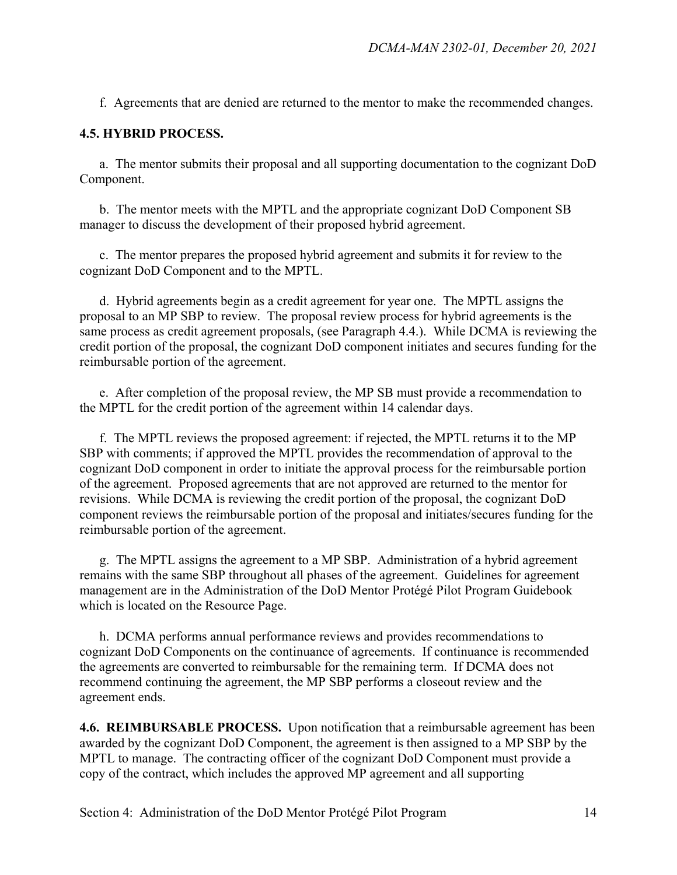f. Agreements that are denied are returned to the mentor to make the recommended changes.

#### **4.5. HYBRID PROCESS.**

a. The mentor submits their proposal and all supporting documentation to the cognizant DoD Component.

b. The mentor meets with the MPTL and the appropriate cognizant DoD Component SB manager to discuss the development of their proposed hybrid agreement.

c. The mentor prepares the proposed hybrid agreement and submits it for review to the cognizant DoD Component and to the MPTL.

d. Hybrid agreements begin as a credit agreement for year one. The MPTL assigns the proposal to an MP SBP to review. The proposal review process for hybrid agreements is the same process as credit agreement proposals, (see Paragraph 4.4.). While DCMA is reviewing the credit portion of the proposal, the cognizant DoD component initiates and secures funding for the reimbursable portion of the agreement.

e. After completion of the proposal review, the MP SB must provide a recommendation to the MPTL for the credit portion of the agreement within 14 calendar days.

f. The MPTL reviews the proposed agreement: if rejected, the MPTL returns it to the MP SBP with comments; if approved the MPTL provides the recommendation of approval to the cognizant DoD component in order to initiate the approval process for the reimbursable portion of the agreement. Proposed agreements that are not approved are returned to the mentor for revisions. While DCMA is reviewing the credit portion of the proposal, the cognizant DoD component reviews the reimbursable portion of the proposal and initiates/secures funding for the reimbursable portion of the agreement.

g. The MPTL assigns the agreement to a MP SBP. Administration of a hybrid agreement remains with the same SBP throughout all phases of the agreement. Guidelines for agreement management are in the Administration of the DoD Mentor Protégé Pilot Program Guidebook which is located on the Resource Page.

h. DCMA performs annual performance reviews and provides recommendations to cognizant DoD Components on the continuance of agreements. If continuance is recommended the agreements are converted to reimbursable for the remaining term. If DCMA does not recommend continuing the agreement, the MP SBP performs a closeout review and the agreement ends.

**4.6. REIMBURSABLE PROCESS.** Upon notification that a reimbursable agreement has been awarded by the cognizant DoD Component, the agreement is then assigned to a MP SBP by the MPTL to manage. The contracting officer of the cognizant DoD Component must provide a copy of the contract, which includes the approved MP agreement and all supporting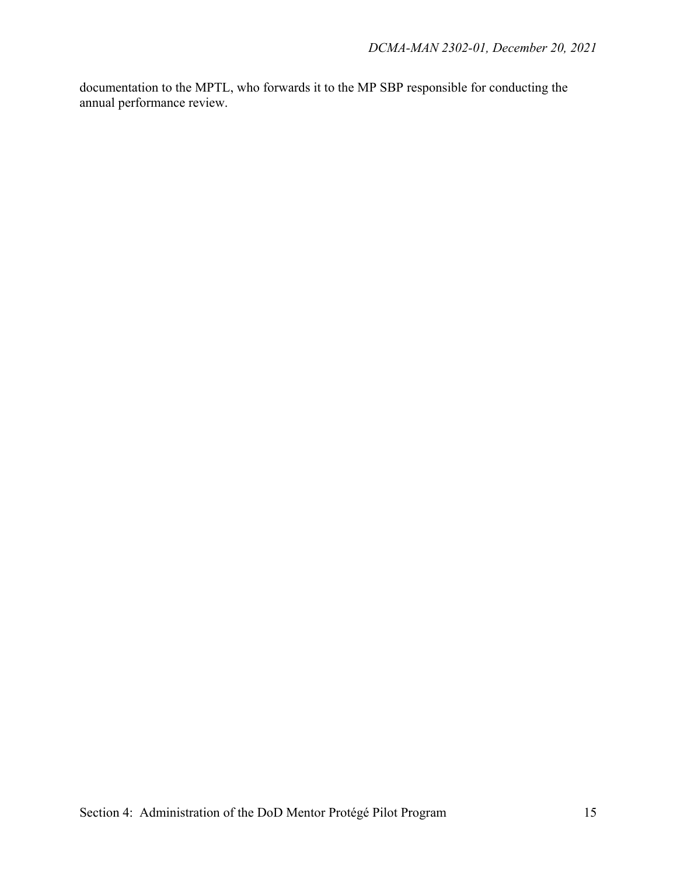documentation to the MPTL, who forwards it to the MP SBP responsible for conducting the annual performance review.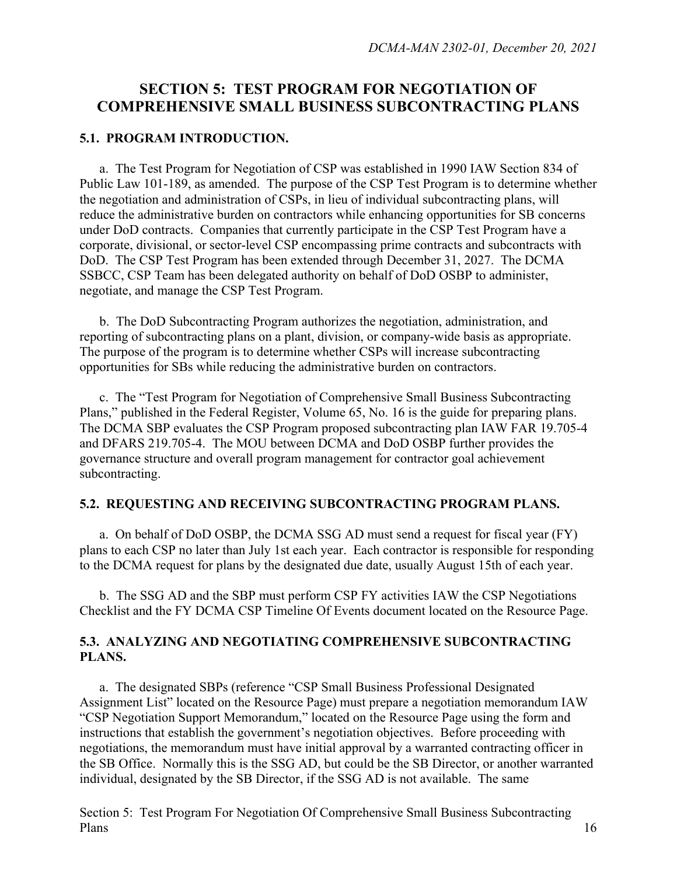## **SECTION 5: TEST PROGRAM FOR NEGOTIATION OF COMPREHENSIVE SMALL BUSINESS SUBCONTRACTING PLANS**

#### **5.1. PROGRAM INTRODUCTION.**

a. The Test Program for Negotiation of CSP was established in 1990 IAW Section 834 of Public Law 101-189, as amended. The purpose of the CSP Test Program is to determine whether the negotiation and administration of CSPs, in lieu of individual subcontracting plans, will reduce the administrative burden on contractors while enhancing opportunities for SB concerns under DoD contracts. Companies that currently participate in the CSP Test Program have a corporate, divisional, or sector-level CSP encompassing prime contracts and subcontracts with DoD. The CSP Test Program has been extended through December 31, 2027. The DCMA SSBCC, CSP Team has been delegated authority on behalf of DoD OSBP to administer, negotiate, and manage the CSP Test Program.

b. The DoD Subcontracting Program authorizes the negotiation, administration, and reporting of subcontracting plans on a plant, division, or company-wide basis as appropriate. The purpose of the program is to determine whether CSPs will increase subcontracting opportunities for SBs while reducing the administrative burden on contractors.

c. The "Test Program for Negotiation of Comprehensive Small Business Subcontracting Plans," published in the Federal Register, Volume 65, No. 16 is the guide for preparing plans. The DCMA SBP evaluates the CSP Program proposed subcontracting plan IAW FAR 19.705-4 and DFARS 219.705-4. The MOU between DCMA and DoD OSBP further provides the governance structure and overall program management for contractor goal achievement subcontracting.

#### **5.2. REQUESTING AND RECEIVING SUBCONTRACTING PROGRAM PLANS.**

 a. On behalf of DoD OSBP, the DCMA SSG AD must send a request for fiscal year (FY) plans to each CSP no later than July 1st each year. Each contractor is responsible for responding to the DCMA request for plans by the designated due date, usually August 15th of each year.

b. The SSG AD and the SBP must perform CSP FY activities IAW the CSP Negotiations Checklist and the FY DCMA CSP Timeline Of Events document located on the Resource Page.

#### **5.3. ANALYZING AND NEGOTIATING COMPREHENSIVE SUBCONTRACTING PLANS.**

a. The designated SBPs (reference "CSP Small Business Professional Designated Assignment List" located on the Resource Page) must prepare a negotiation memorandum IAW "CSP Negotiation Support Memorandum," located on the Resource Page using the form and instructions that establish the government's negotiation objectives. Before proceeding with negotiations, the memorandum must have initial approval by a warranted contracting officer in the SB Office. Normally this is the SSG AD, but could be the SB Director, or another warranted individual, designated by the SB Director, if the SSG AD is not available. The same

Section 5: Test Program For Negotiation Of Comprehensive Small Business Subcontracting Plans 16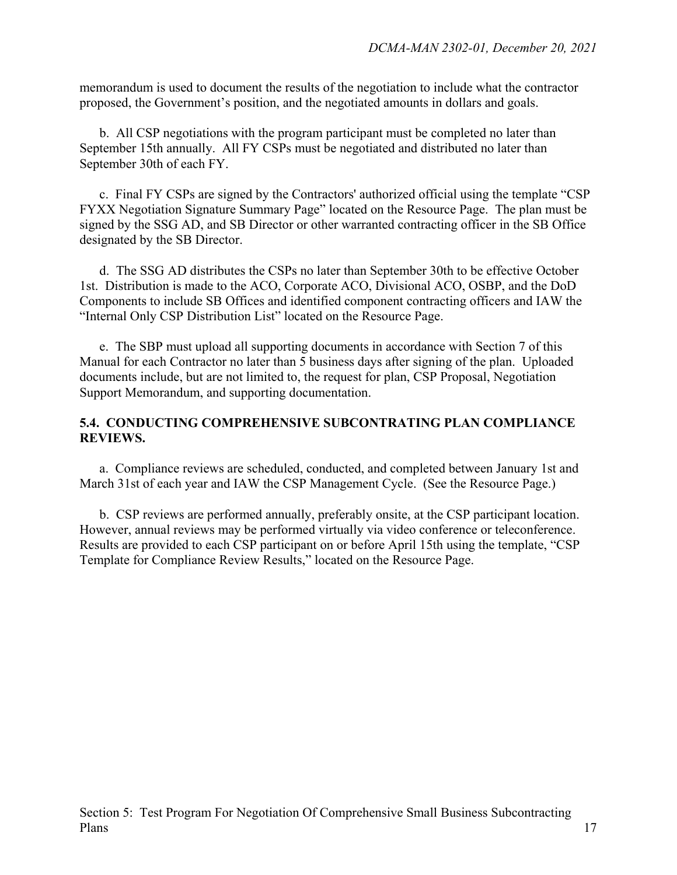memorandum is used to document the results of the negotiation to include what the contractor proposed, the Government's position, and the negotiated amounts in dollars and goals.

b. All CSP negotiations with the program participant must be completed no later than September 15th annually. All FY CSPs must be negotiated and distributed no later than September 30th of each FY.

c. Final FY CSPs are signed by the Contractors' authorized official using the template "CSP FYXX Negotiation Signature Summary Page" located on the Resource Page. The plan must be signed by the SSG AD, and SB Director or other warranted contracting officer in the SB Office designated by the SB Director.

d. The SSG AD distributes the CSPs no later than September 30th to be effective October 1st. Distribution is made to the ACO, Corporate ACO, Divisional ACO, OSBP, and the DoD Components to include SB Offices and identified component contracting officers and IAW the "Internal Only CSP Distribution List" located on the Resource Page.

e. The SBP must upload all supporting documents in accordance with Section 7 of this Manual for each Contractor no later than 5 business days after signing of the plan. Uploaded documents include, but are not limited to, the request for plan, CSP Proposal, Negotiation Support Memorandum, and supporting documentation.

#### **5.4. CONDUCTING COMPREHENSIVE SUBCONTRATING PLAN COMPLIANCE REVIEWS.**

a. Compliance reviews are scheduled, conducted, and completed between January 1st and March 31st of each year and IAW the CSP Management Cycle. (See the Resource Page.)

 b. CSP reviews are performed annually, preferably onsite, at the CSP participant location. However, annual reviews may be performed virtually via video conference or teleconference. Results are provided to each CSP participant on or before April 15th using the template, "CSP Template for Compliance Review Results," located on the Resource Page.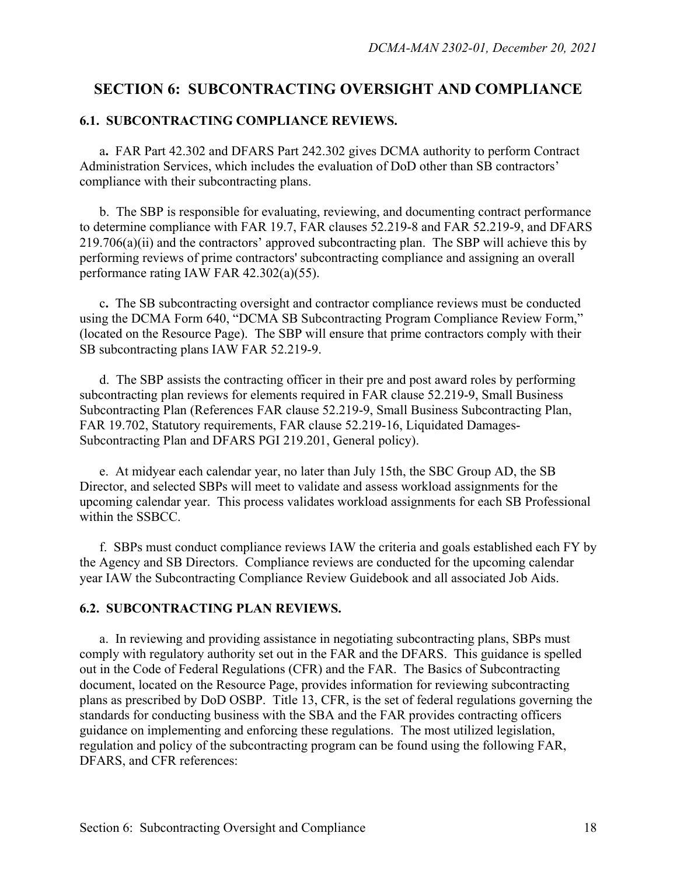## **SECTION 6: SUBCONTRACTING OVERSIGHT AND COMPLIANCE**

#### **6.1. SUBCONTRACTING COMPLIANCE REVIEWS.**

 a**.** FAR Part 42.302 and DFARS Part 242.302 gives DCMA authority to perform Contract Administration Services, which includes the evaluation of DoD other than SB contractors' compliance with their subcontracting plans.

 b. The SBP is responsible for evaluating, reviewing, and documenting contract performance to determine compliance with FAR 19.7, FAR clauses 52.219-8 and FAR 52.219-9, and DFARS 219.706(a)(ii) and the contractors' approved subcontracting plan. The SBP will achieve this by performing reviews of prime contractors' subcontracting compliance and assigning an overall performance rating IAW FAR 42.302(a)(55).

c**.** The SB subcontracting oversight and contractor compliance reviews must be conducted using the DCMA Form 640, "DCMA SB Subcontracting Program Compliance Review Form," (located on the Resource Page). The SBP will ensure that prime contractors comply with their SB subcontracting plans IAW FAR 52.219-9.

d. The SBP assists the contracting officer in their pre and post award roles by performing subcontracting plan reviews for elements required in FAR clause 52.219-9, Small Business Subcontracting Plan (References FAR clause 52.219-9, Small Business Subcontracting Plan, FAR 19.702, Statutory requirements, FAR clause 52.219-16, Liquidated Damages-Subcontracting Plan and DFARS PGI 219.201, General policy).

 e. At midyear each calendar year, no later than July 15th, the SBC Group AD, the SB Director, and selected SBPs will meet to validate and assess workload assignments for the upcoming calendar year. This process validates workload assignments for each SB Professional within the SSBCC.

f. SBPs must conduct compliance reviews IAW the criteria and goals established each FY by the Agency and SB Directors. Compliance reviews are conducted for the upcoming calendar year IAW the Subcontracting Compliance Review Guidebook and all associated Job Aids.

#### **6.2. SUBCONTRACTING PLAN REVIEWS.**

a. In reviewing and providing assistance in negotiating subcontracting plans, SBPs must comply with regulatory authority set out in the FAR and the DFARS. This guidance is spelled out in the Code of Federal Regulations (CFR) and the FAR. The Basics of Subcontracting document, located on the Resource Page, provides information for reviewing subcontracting plans as prescribed by DoD OSBP. Title 13, CFR, is the set of federal regulations governing the standards for conducting business with the SBA and the FAR provides contracting officers guidance on implementing and enforcing these regulations. The most utilized legislation, regulation and policy of the subcontracting program can be found using the following FAR, DFARS, and CFR references: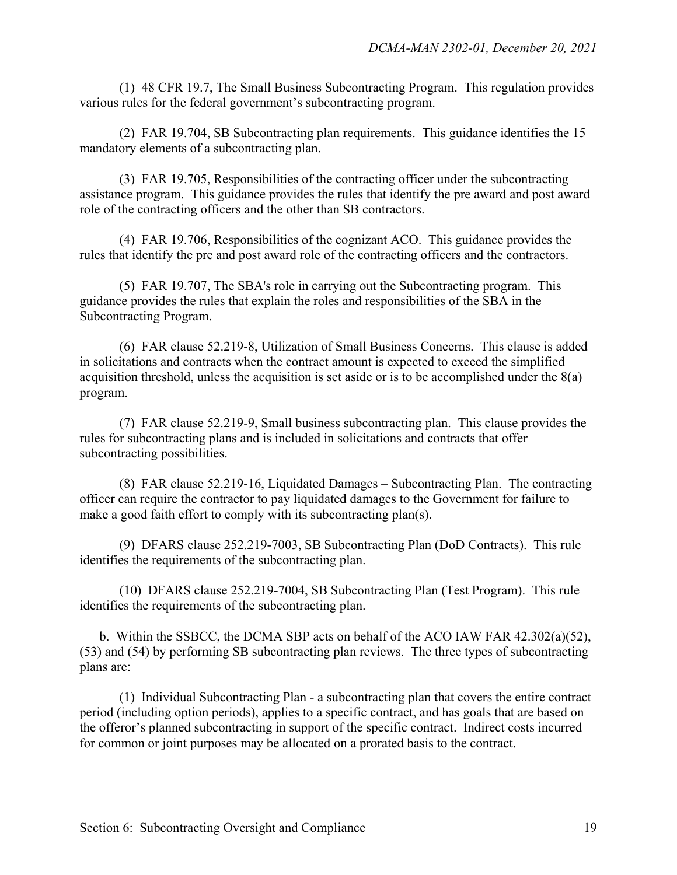(1) 48 CFR 19.7, The Small Business Subcontracting Program. This regulation provides various rules for the federal government's subcontracting program.

(2) FAR 19.704, SB Subcontracting plan requirements. This guidance identifies the 15 mandatory elements of a subcontracting plan.

 (3) FAR 19.705, Responsibilities of the contracting officer under the subcontracting assistance program. This guidance provides the rules that identify the pre award and post award role of the contracting officers and the other than SB contractors.

 (4) FAR 19.706, Responsibilities of the cognizant ACO. This guidance provides the rules that identify the pre and post award role of the contracting officers and the contractors.

 (5) FAR 19.707, The SBA's role in carrying out the Subcontracting program. This guidance provides the rules that explain the roles and responsibilities of the SBA in the Subcontracting Program.

 (6) FAR clause 52.219-8, Utilization of Small Business Concerns. This clause is added in solicitations and contracts when the contract amount is expected to exceed the simplified acquisition threshold, unless the acquisition is set aside or is to be accomplished under the 8(a) program.

 (7) FAR clause 52.219-9, Small business subcontracting plan. This clause provides the rules for subcontracting plans and is included in solicitations and contracts that offer subcontracting possibilities.

 (8) FAR clause 52.219-16, Liquidated Damages – Subcontracting Plan. The contracting officer can require the contractor to pay liquidated damages to the Government for failure to make a good faith effort to comply with its subcontracting plan(s).

(9) DFARS clause 252.219-7003, SB Subcontracting Plan (DoD Contracts). This rule identifies the requirements of the subcontracting plan.

(10) DFARS clause 252.219-7004, SB Subcontracting Plan (Test Program). This rule identifies the requirements of the subcontracting plan.

 b. Within the SSBCC, the DCMA SBP acts on behalf of the ACO IAW FAR 42.302(a)(52), (53) and (54) by performing SB subcontracting plan reviews. The three types of subcontracting plans are:

(1) Individual Subcontracting Plan - a subcontracting plan that covers the entire contract period (including option periods), applies to a specific contract, and has goals that are based on the offeror's planned subcontracting in support of the specific contract. Indirect costs incurred for common or joint purposes may be allocated on a prorated basis to the contract.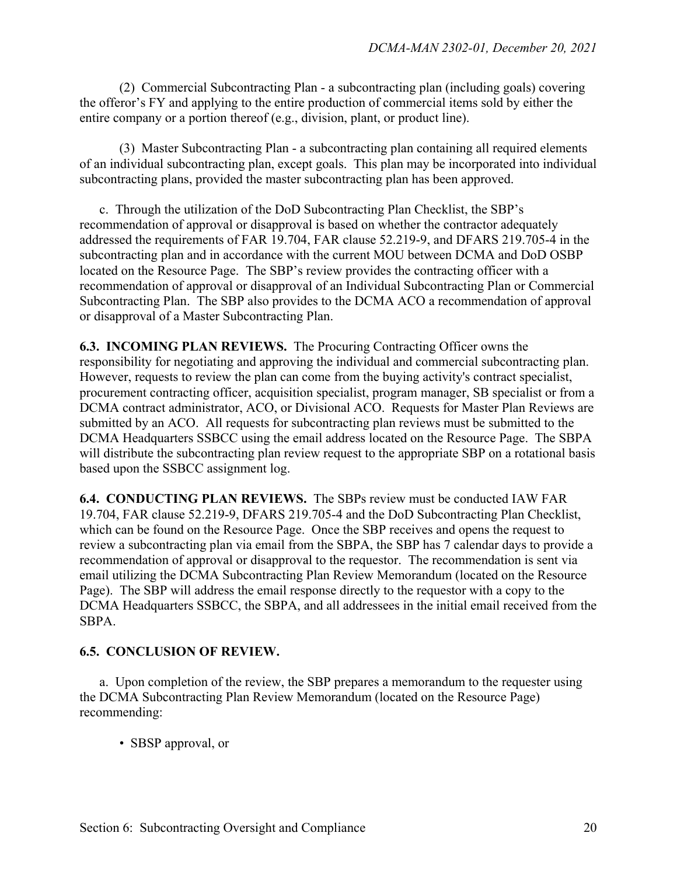(2) Commercial Subcontracting Plan - a subcontracting plan (including goals) covering the offeror's FY and applying to the entire production of commercial items sold by either the entire company or a portion thereof (e.g., division, plant, or product line).

 (3) Master Subcontracting Plan - a subcontracting plan containing all required elements of an individual subcontracting plan, except goals. This plan may be incorporated into individual subcontracting plans, provided the master subcontracting plan has been approved.

 c. Through the utilization of the DoD Subcontracting Plan Checklist, the SBP's recommendation of approval or disapproval is based on whether the contractor adequately addressed the requirements of FAR 19.704, FAR clause 52.219-9, and DFARS 219.705-4 in the subcontracting plan and in accordance with the current MOU between DCMA and DoD OSBP located on the Resource Page. The SBP's review provides the contracting officer with a recommendation of approval or disapproval of an Individual Subcontracting Plan or Commercial Subcontracting Plan. The SBP also provides to the DCMA ACO a recommendation of approval or disapproval of a Master Subcontracting Plan.

**6.3. INCOMING PLAN REVIEWS.** The Procuring Contracting Officer owns the responsibility for negotiating and approving the individual and commercial subcontracting plan. However, requests to review the plan can come from the buying activity's contract specialist, procurement contracting officer, acquisition specialist, program manager, SB specialist or from a DCMA contract administrator, ACO, or Divisional ACO. Requests for Master Plan Reviews are submitted by an ACO. All requests for subcontracting plan reviews must be submitted to the DCMA Headquarters SSBCC using the email address located on the Resource Page. The SBPA will distribute the subcontracting plan review request to the appropriate SBP on a rotational basis based upon the SSBCC assignment log.

**6.4. CONDUCTING PLAN REVIEWS.** The SBPs review must be conducted IAW FAR 19.704, FAR clause 52.219-9, DFARS 219.705-4 and the DoD Subcontracting Plan Checklist, which can be found on the Resource Page. Once the SBP receives and opens the request to review a subcontracting plan via email from the SBPA, the SBP has 7 calendar days to provide a recommendation of approval or disapproval to the requestor. The recommendation is sent via email utilizing the DCMA Subcontracting Plan Review Memorandum (located on the Resource Page). The SBP will address the email response directly to the requestor with a copy to the DCMA Headquarters SSBCC, the SBPA, and all addressees in the initial email received from the SBPA.

#### **6.5. CONCLUSION OF REVIEW.**

 a. Upon completion of the review, the SBP prepares a memorandum to the requester using the DCMA Subcontracting Plan Review Memorandum (located on the Resource Page) recommending:

• SBSP approval, or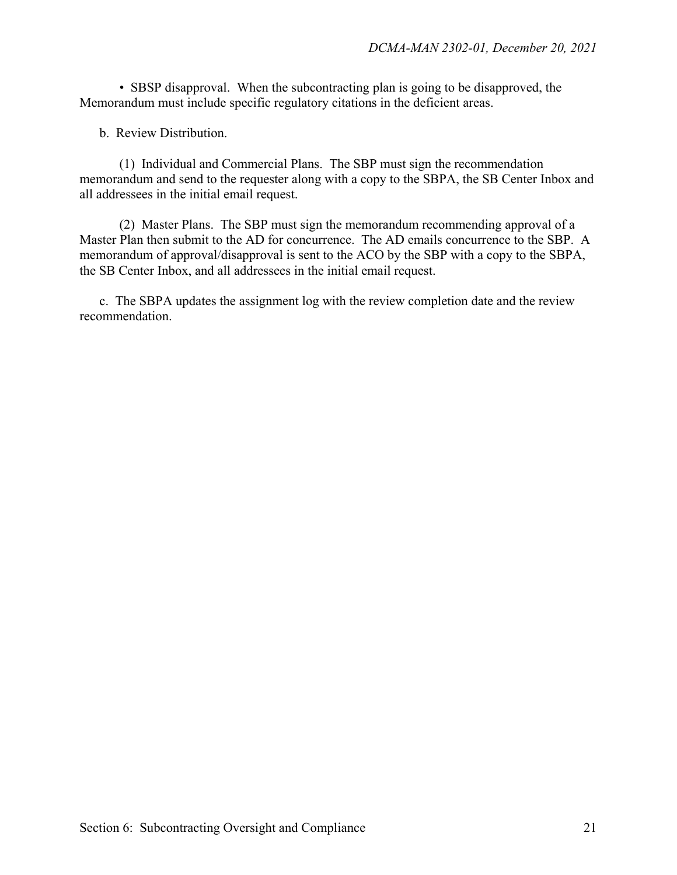• SBSP disapproval. When the subcontracting plan is going to be disapproved, the Memorandum must include specific regulatory citations in the deficient areas.

b. Review Distribution.

 (1) Individual and Commercial Plans. The SBP must sign the recommendation memorandum and send to the requester along with a copy to the SBPA, the SB Center Inbox and all addressees in the initial email request.

 (2) Master Plans. The SBP must sign the memorandum recommending approval of a Master Plan then submit to the AD for concurrence. The AD emails concurrence to the SBP. A memorandum of approval/disapproval is sent to the ACO by the SBP with a copy to the SBPA, the SB Center Inbox, and all addressees in the initial email request.

 c. The SBPA updates the assignment log with the review completion date and the review recommendation.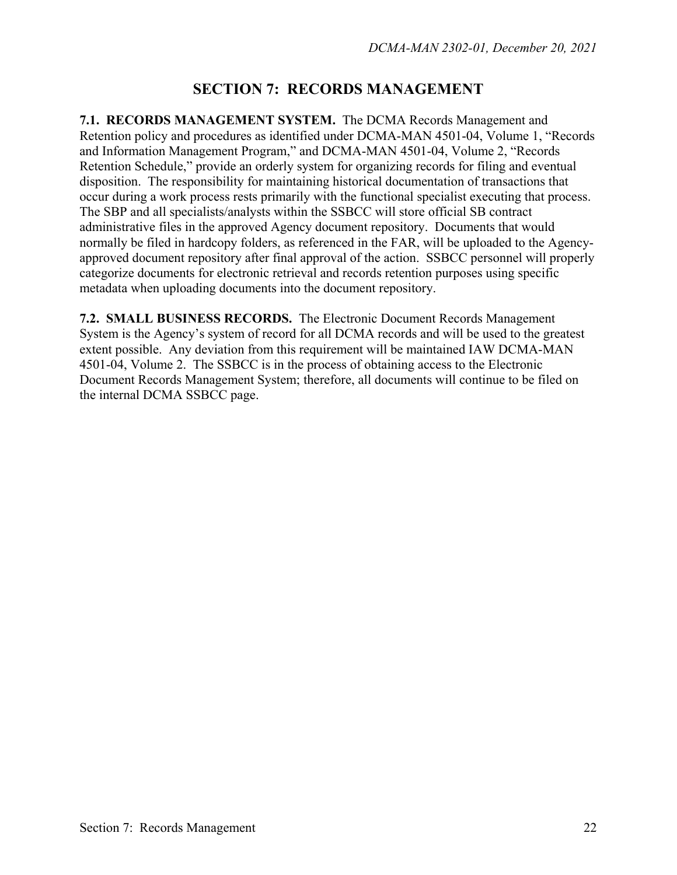# **SECTION 7: RECORDS MANAGEMENT**

**7.1. RECORDS MANAGEMENT SYSTEM.** The DCMA Records Management and Retention policy and procedures as identified under DCMA-MAN 4501-04, Volume 1, "Records and Information Management Program," and DCMA-MAN 4501-04, Volume 2, "Records Retention Schedule," provide an orderly system for organizing records for filing and eventual disposition. The responsibility for maintaining historical documentation of transactions that occur during a work process rests primarily with the functional specialist executing that process. The SBP and all specialists/analysts within the SSBCC will store official SB contract administrative files in the approved Agency document repository. Documents that would normally be filed in hardcopy folders, as referenced in the FAR, will be uploaded to the Agencyapproved document repository after final approval of the action. SSBCC personnel will properly categorize documents for electronic retrieval and records retention purposes using specific metadata when uploading documents into the document repository.

**7.2. SMALL BUSINESS RECORDS.** The Electronic Document Records Management System is the Agency's system of record for all DCMA records and will be used to the greatest extent possible. Any deviation from this requirement will be maintained IAW DCMA-MAN 4501-04, Volume 2. The SSBCC is in the process of obtaining access to the Electronic Document Records Management System; therefore, all documents will continue to be filed on the internal DCMA SSBCC page.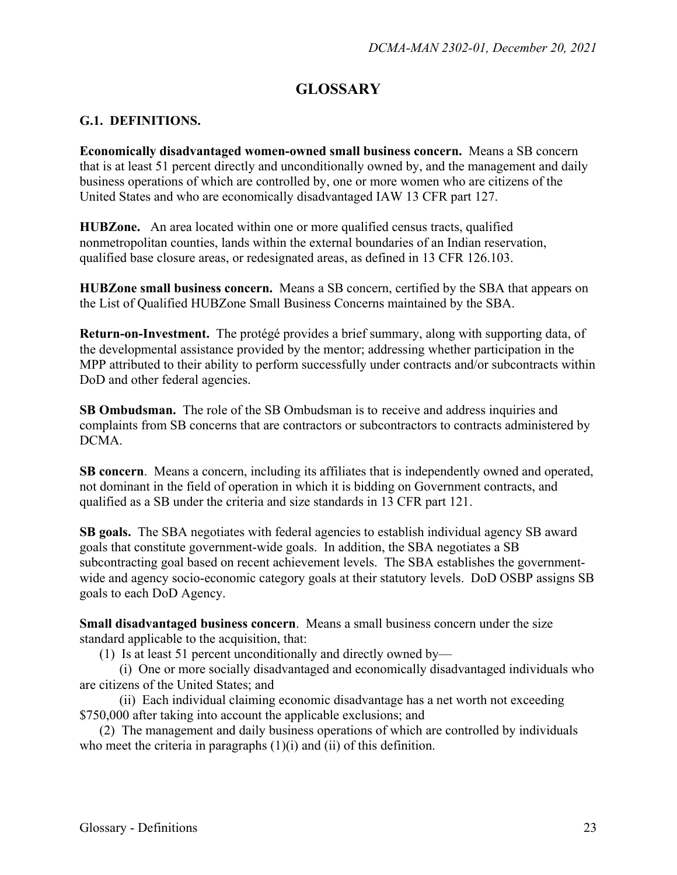# **GLOSSARY**

#### **G.1. DEFINITIONS.**

**Economically disadvantaged women-owned small business concern.** Means a SB concern that is at least 51 percent directly and unconditionally owned by, and the management and daily business operations of which are controlled by, one or more women who are citizens of the United States and who are economically disadvantaged IAW 13 CFR part 127.

**HUBZone.** An area located within one or more qualified census tracts, qualified nonmetropolitan counties, lands within the external boundaries of an Indian reservation, qualified base closure areas, or redesignated areas, as defined in 13 CFR 126.103.

**HUBZone small business concern.** Means a SB concern, certified by the SBA that appears on the List of Qualified HUBZone Small Business Concerns maintained by the SBA.

**Return-on-Investment.** The protégé provides a brief summary, along with supporting data, of the developmental assistance provided by the mentor; addressing whether participation in the MPP attributed to their ability to perform successfully under contracts and/or subcontracts within DoD and other federal agencies.

**SB Ombudsman.** The role of the SB Ombudsman is to receive and address inquiries and complaints from SB concerns that are contractors or subcontractors to contracts administered by DCMA.

**SB concern**. Means a concern, including its affiliates that is independently owned and operated, not dominant in the field of operation in which it is bidding on Government contracts, and qualified as a SB under the criteria and size standards in 13 CFR part 121.

**SB goals.** The SBA negotiates with federal agencies to establish individual agency SB award goals that constitute government-wide goals. In addition, the SBA negotiates a SB subcontracting goal based on recent achievement levels. The SBA establishes the governmentwide and agency socio-economic category goals at their statutory levels. DoD OSBP assigns SB goals to each DoD Agency.

**Small disadvantaged business concern**. Means a small business concern under the size standard applicable to the acquisition, that:

(1) Is at least 51 percent unconditionally and directly owned by—

 (i) One or more socially disadvantaged and economically disadvantaged individuals who are citizens of the United States; and

 (ii) Each individual claiming economic disadvantage has a net worth not exceeding \$750,000 after taking into account the applicable exclusions; and

(2) The management and daily business operations of which are controlled by individuals who meet the criteria in paragraphs (1)(i) and (ii) of this definition.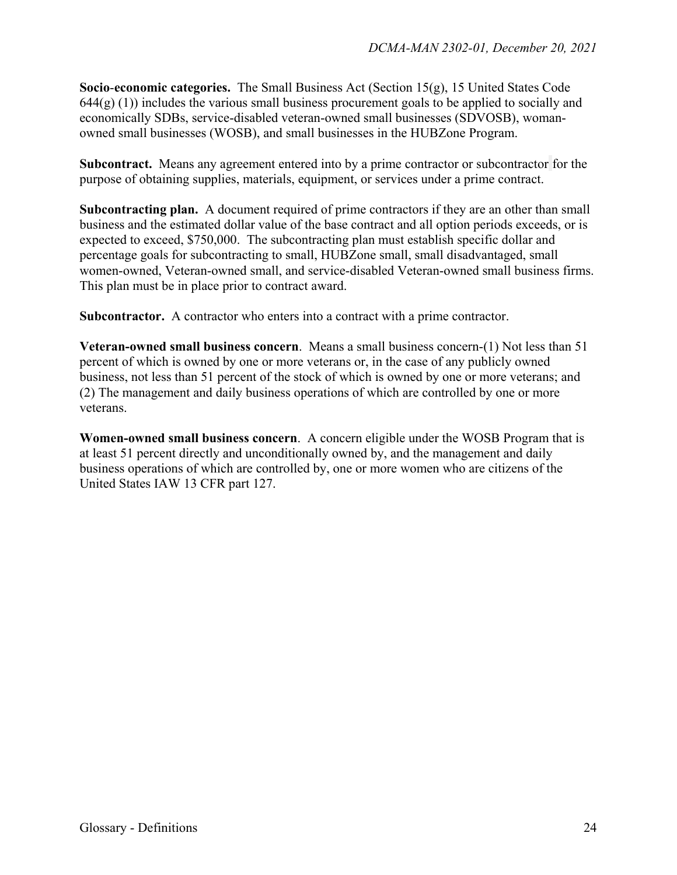**Socio**-**economic categories.** The Small Business Act (Section 15(g), 15 United States Code  $644(g)(1)$ ) includes the various small business procurement goals to be applied to socially and economically SDBs, service-disabled veteran-owned small businesses (SDVOSB), womanowned small businesses (WOSB), and small businesses in the HUBZone Program.

**Subcontract.** Means any agreement entered into by a prime contractor or subcontractor for the purpose of obtaining supplies, materials, equipment, or services under a prime contract.

**Subcontracting plan.** A document required of prime contractors if they are an other than small business and the estimated dollar value of the base contract and all option periods exceeds, or is expected to exceed, \$750,000. The subcontracting plan must establish specific dollar and percentage goals for subcontracting to small, HUBZone small, small disadvantaged, small women-owned, Veteran-owned small, and service-disabled Veteran-owned small business firms. This plan must be in place prior to contract award.

**Subcontractor.** A contractor who enters into a contract with a prime contractor.

**Veteran-owned small business concern**. Means a small business concern-(1) Not less than 51 percent of which is owned by one or more veterans or, in the case of any publicly owned business, not less than 51 percent of the stock of which is owned by one or more veterans; and (2) The management and daily business operations of which are controlled by one or more veterans.

**Women-owned small business concern**. A concern eligible under the WOSB Program that is at least 51 percent directly and unconditionally owned by, and the management and daily business operations of which are controlled by, one or more women who are citizens of the United States IAW 13 CFR part 127.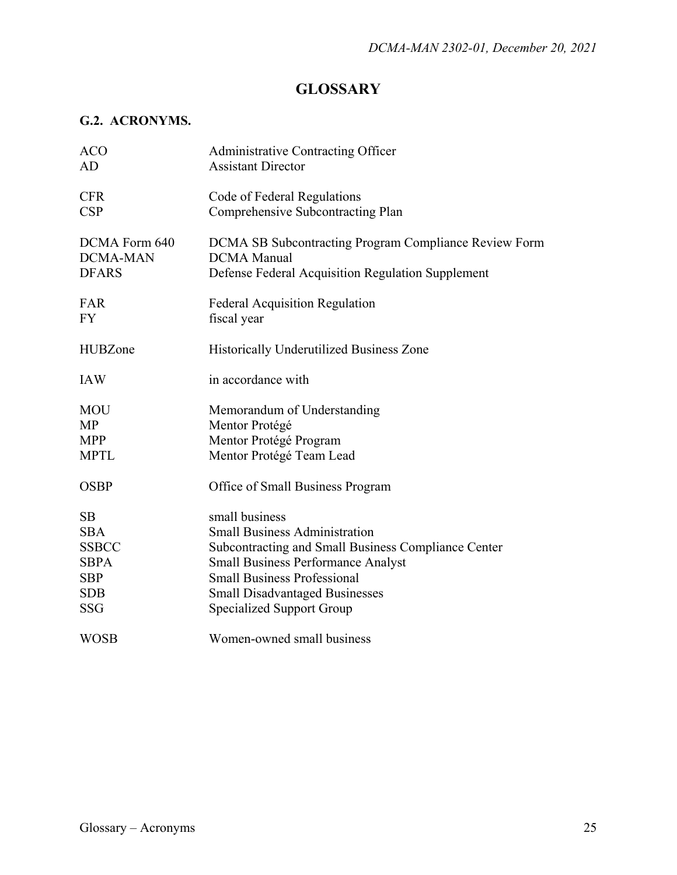# **GLOSSARY**

## **G.2. ACRONYMS.**

| <b>ACO</b>      | Administrative Contracting Officer                    |
|-----------------|-------------------------------------------------------|
| AD              | <b>Assistant Director</b>                             |
| <b>CFR</b>      | Code of Federal Regulations                           |
| CSP             | Comprehensive Subcontracting Plan                     |
| DCMA Form 640   | DCMA SB Subcontracting Program Compliance Review Form |
| <b>DCMA-MAN</b> | <b>DCMA</b> Manual                                    |
| <b>DFARS</b>    | Defense Federal Acquisition Regulation Supplement     |
| FAR             | <b>Federal Acquisition Regulation</b>                 |
| <b>FY</b>       | fiscal year                                           |
| <b>HUBZone</b>  | Historically Underutilized Business Zone              |
| <b>IAW</b>      | in accordance with                                    |
| <b>MOU</b>      | Memorandum of Understanding                           |
| MP              | Mentor Protégé                                        |
| <b>MPP</b>      | Mentor Protégé Program                                |
| <b>MPTL</b>     | Mentor Protégé Team Lead                              |
| <b>OSBP</b>     | Office of Small Business Program                      |
| SB              | small business                                        |
| <b>SBA</b>      | <b>Small Business Administration</b>                  |
| <b>SSBCC</b>    | Subcontracting and Small Business Compliance Center   |
| <b>SBPA</b>     | <b>Small Business Performance Analyst</b>             |
| <b>SBP</b>      | <b>Small Business Professional</b>                    |
| <b>SDB</b>      | <b>Small Disadvantaged Businesses</b>                 |
| <b>SSG</b>      | <b>Specialized Support Group</b>                      |
| <b>WOSB</b>     | Women-owned small business                            |